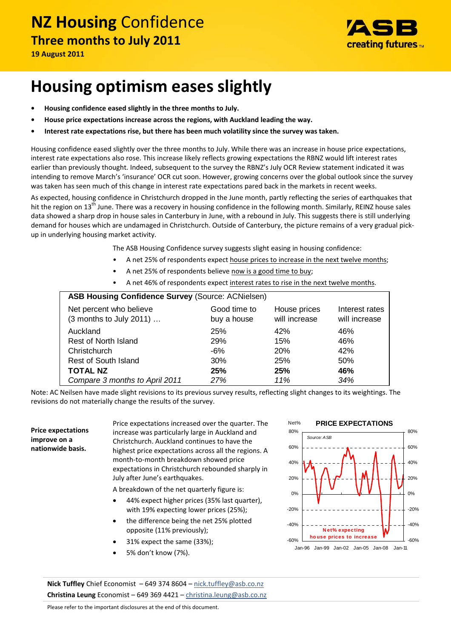# **NZ Housing** Confidence

**Three months to July 2011**



**19 August 2011**

# **Housing optimism eases slightly**

- **• Housing confidence eased slightly in the three months to July.**
- **• House price expectations increase across the regions, with Auckland leading the way.**
- **• Interest rate expectations rise, but there has been much volatility since the survey was taken.**

Housing confidence eased slightly over the three months to July. While there was an increase in house price expectations, interest rate expectations also rose. This increase likely reflects growing expectations the RBNZ would lift interest rates earlier than previously thought. Indeed, subsequent to the survey the RBNZ's July OCR Review statement indicated it was intending to remove March's 'insurance' OCR cut soon. However, growing concerns over the global outlook since the survey was taken has seen much of this change in interest rate expectations pared back in the markets in recent weeks.

As expected, housing confidence in Christchurch dropped in the June month, partly reflecting the series of earthquakes that hit the region on 13<sup>th</sup> June. There was a recovery in housing confidence in the following month. Similarly, REINZ house sales data showed a sharp drop in house sales in Canterbury in June, with a rebound in July. This suggests there is still underlying demand for houses which are undamaged in Christchurch. Outside of Canterbury, the picture remains of a very gradual pick‐ up in underlying housing market activity.

The ASB Housing Confidence survey suggests slight easing in housing confidence:

- A net 25% of respondents expect house prices to increase in the next twelve months;
- A net 25% of respondents believe now is a good time to buy;
- A net 46% of respondents expect interest rates to rise in the next twelve months.

| <b>ASB Housing Confidence Survey (Source: ACNielsen)</b> |                             |                               |                                 |  |  |
|----------------------------------------------------------|-----------------------------|-------------------------------|---------------------------------|--|--|
| Net percent who believe<br>(3 months to July 2011)       | Good time to<br>buy a house | House prices<br>will increase | Interest rates<br>will increase |  |  |
| Auckland                                                 | 25%                         | 42%                           | 46%                             |  |  |
| Rest of North Island                                     | 29%                         | 15%                           | 46%                             |  |  |
| Christchurch                                             | -6%                         | 20%                           | 42%                             |  |  |
| Rest of South Island                                     | 30%                         | 25%                           | 50%                             |  |  |
| <b>TOTAL NZ</b>                                          | 25%                         | 25%                           | 46%                             |  |  |
| Compare 3 months to April 2011                           | 27%                         | 11%                           | 34%                             |  |  |

Note: AC Neilsen have made slight revisions to its previous survey results, reflecting slight changes to its weightings. The revisions do not materially change the results of the survey.

**Price expectations improve on a nationwide basis.**

Price expectations increased over the quarter. The increase was particularly large in Auckland and Christchurch. Auckland continues to have the highest price expectations across all the regions. A month‐to‐month breakdown showed price expectations in Christchurch rebounded sharply in July after June's earthquakes.

A breakdown of the net quarterly figure is:

- 44% expect higher prices (35% last quarter), with 19% expecting lower prices (25%);
- the difference being the net 25% plotted opposite (11% previously);
- 31% expect the same (33%);
- 5% don't know (7%).



**Nick Tuffley** Chief Economist – 649 374 8604 – nick.tuffley@asb.co.nz **Christina Leung** Economist – 649 369 4421 – christina.leung@asb.co.nz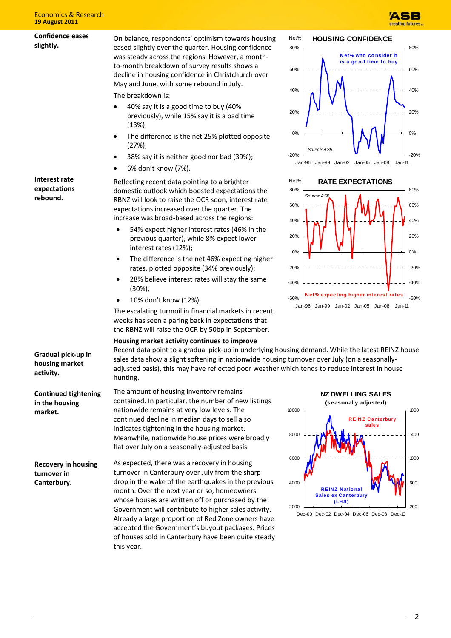

-20%

-60% -40%

-20%

0%

20%

40% 60%

80%

0%

20%

40%

60%

80%

**Confidence eases slightly.** On balance, respondents' optimism towards housing eased slightly over the quarter. Housing confidence was steady across the regions. However, a month‐ to‐month breakdown of survey results shows a decline in housing confidence in Christchurch over May and June, with some rebound in July. The breakdown is: 40% say it is a good time to buy (40% previously), while 15% say it is a bad time (13%); The difference is the net 25% plotted opposite (27%); 38% say it is neither good nor bad (39%); 6% don't know (7%). -20% 0% 20% 40% 60% 80% Jan-96 Jan-99 Jan-02 Jan-05 Jan-08 Jan-11 **HOUSING CONFIDENCE** *Source: ASB* Net% **N et% who co nsider it is a good time to buy Interest rate expectations rebound.** Reflecting recent data pointing to a brighter domestic outlook which boosted expectations the RBNZ will look to raise the OCR soon, interest rate expectations increased over the quarter. The increase was broad‐based across the regions: 54% expect higher interest rates (46% in the previous quarter), while 8% expect lower interest rates (12%); • The difference is the net 46% expecting higher rates, plotted opposite (34% previously); 28% believe interest rates will stay the same (30%); 10% don't know (12%). The escalating turmoil in financial markets in recent weeks has seen a paring back in expectations that the RBNZ will raise the OCR by 50bp in September. -60% -40% -20%  $0%$ 20% 40% 60% 80% Jan-96 Jan-99 Jan-02 Jan-05 Jan-08 Jan-11 Source: A Si Net% **N et% expecting higher interest rates** The amount of housing inventory remains contained. In particular, the number of new listings nationwide remains at very low levels. The continued decline in median days to sell also indicates tightening in the housing market. Meanwhile, nationwide house prices were broadly flat over July on a seasonally-adjusted basis. **RATE EXPECTATIONS Gradual pick‐up in housing market activity. Housing market activity continues to improve** Recent data point to a gradual pick‐up in underlying housing demand. While the latest REINZ house sales data show a slight softening in nationwide housing turnover over July (on a seasonally‐ adjusted basis), this may have reflected poor weather which tends to reduce interest in house hunting. **Continued tightening in the housing market. Recovery in housing turnover in Canterbury.** As expected, there was a recovery in housing turnover in Canterbury over July from the sharp drop in the wake of the earthquakes in the previous month. Over the next year or so, homeowners whose houses are written off or purchased by the Government will contribute to higher sales activity. Already a large proportion of Red Zone owners have accepted the Government's buyout packages. Prices 2000 4000 6000 8000 10000 Dec-00 Dec-02 Dec-04 Dec-06 Dec-08 Dec-10 **REINZ National Sales ex C anterbury (LHS) NZ DWELLING SALES (seasonally adjusted) R EIN Z C anterbury sales**

of houses sold in Canterbury have been quite steady

this year.

 $200$ 

600

 $1000$ 

1400

1800